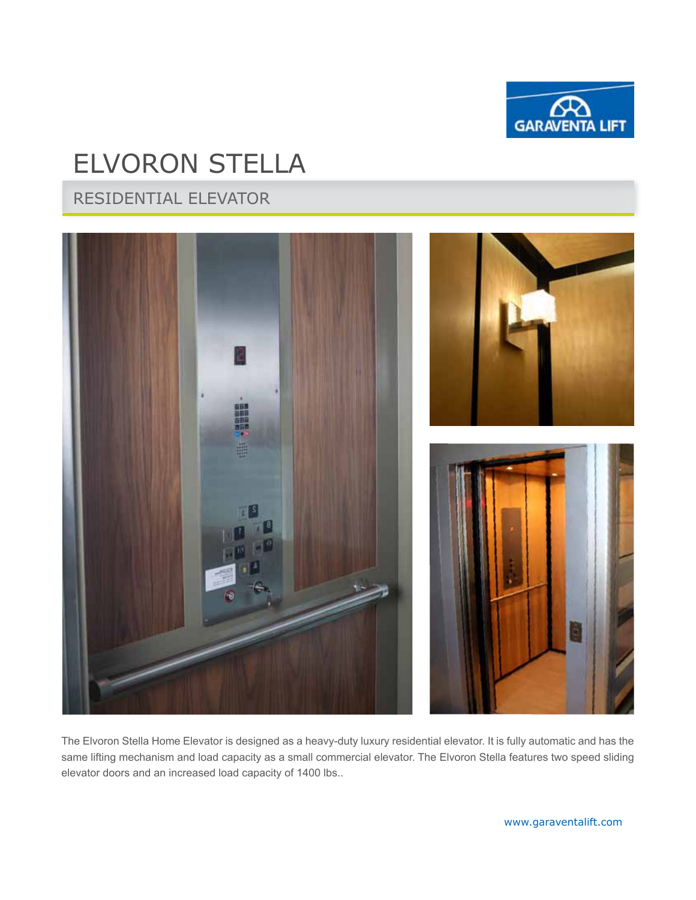

# ELVORON STELLA

RESIDENTIAL elevator



The Elvoron Stella Home Elevator is designed as a heavy-duty luxury residential elevator. It is fully automatic and has the same lifting mechanism and load capacity as a small commercial elevator. The Elvoron Stella features two speed sliding elevator doors and an increased load capacity of 1400 lbs..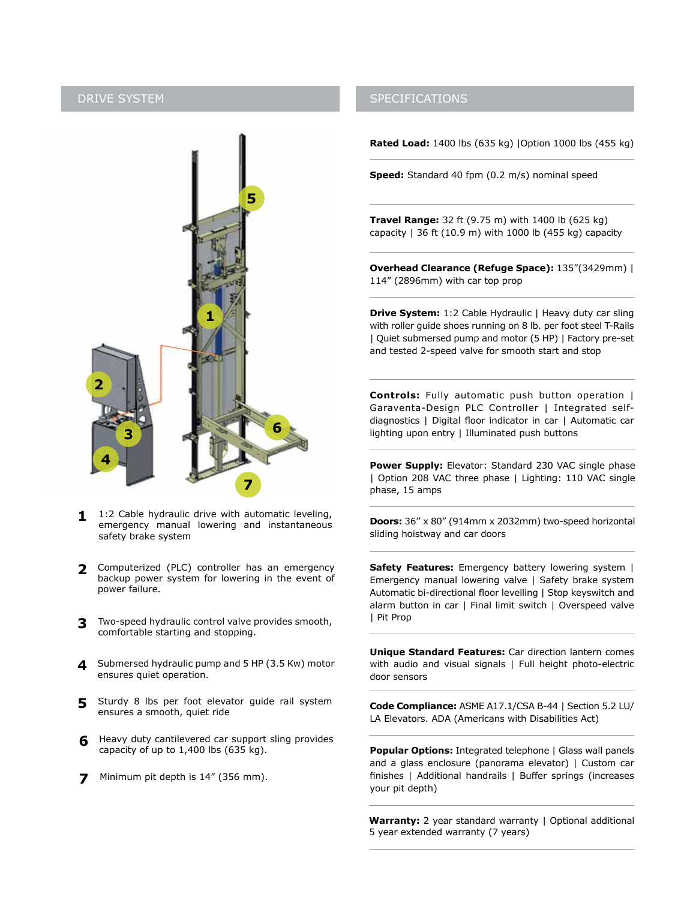

- 1:2 Cable hydraulic drive with automatic leveling, emergency manual lowering and instantaneous safety brake system **1**
- Computerized (PLC) controller has an emergency **2** backup power system for lowering in the event of power failure.
- Two-speed hydraulic control valve provides smooth, comfortable starting and stopping. **3**
- **4** Submersed hydraulic pump and 5 HP (3.5 Kw) motor ensures quiet operation.
- Sturdy 8 lbs per foot elevator guide rail system ensures a smooth, quiet ride **5**
- **6** Heavy duty cantilevered car support sling provides capacity of up to  $1,400$  lbs (635 kg).
- **7** Minimum pit depth is 14" (356 mm).

#### DRIVE SYSTEM SPECIFICATIONS

**Rated Load:** 1400 lbs (635 kg) |Option 1000 lbs (455 kg)

**Speed:** Standard 40 fpm (0.2 m/s) nominal speed

**Travel Range:** 32 ft (9.75 m) with 1400 lb (625 kg) capacity  $| 36 \text{ ft } (10.9 \text{ m})$  with 1000 lb (455 kg) capacity

**Overhead Clearance (Refuge Space):** 135"(3429mm) | 114" (2896mm) with car top prop

**Drive System:** 1:2 Cable Hydraulic | Heavy duty car sling with roller guide shoes running on 8 lb. per foot steel T-Rails | Quiet submersed pump and motor (5 HP) | Factory pre-set and tested 2-speed valve for smooth start and stop

**Controls:** Fully automatic push button operation | Garaventa-Design PLC Controller | Integrated selfdiagnostics | Digital floor indicator in car | Automatic car lighting upon entry | Illuminated push buttons

**Power Supply:** Elevator: Standard 230 VAC single phase | Option 208 VAC three phase | Lighting: 110 VAC single phase, 15 amps

**Doors:** 36'' x 80" (914mm x 2032mm) two-speed horizontal sliding hoistway and car doors

**Safety Features:** Emergency battery lowering system | Emergency manual lowering valve | Safety brake system Automatic bi-directional floor levelling | Stop keyswitch and alarm button in car | Final limit switch | Overspeed valve | Pit Prop

**Unique Standard Features:** Car direction lantern comes with audio and visual signals | Full height photo-electric door sensors

**Code Compliance:** ASME A17.1/CSA B-44 | Section 5.2 LU/ LA Elevators. ADA (Americans with Disabilities Act)

**Popular Options:** Integrated telephone | Glass wall panels and a glass enclosure (panorama elevator) | Custom car finishes | Additional handrails | Buffer springs (increases your pit depth)

**Warranty:** 2 year standard warranty | Optional additional 5 year extended warranty (7 years)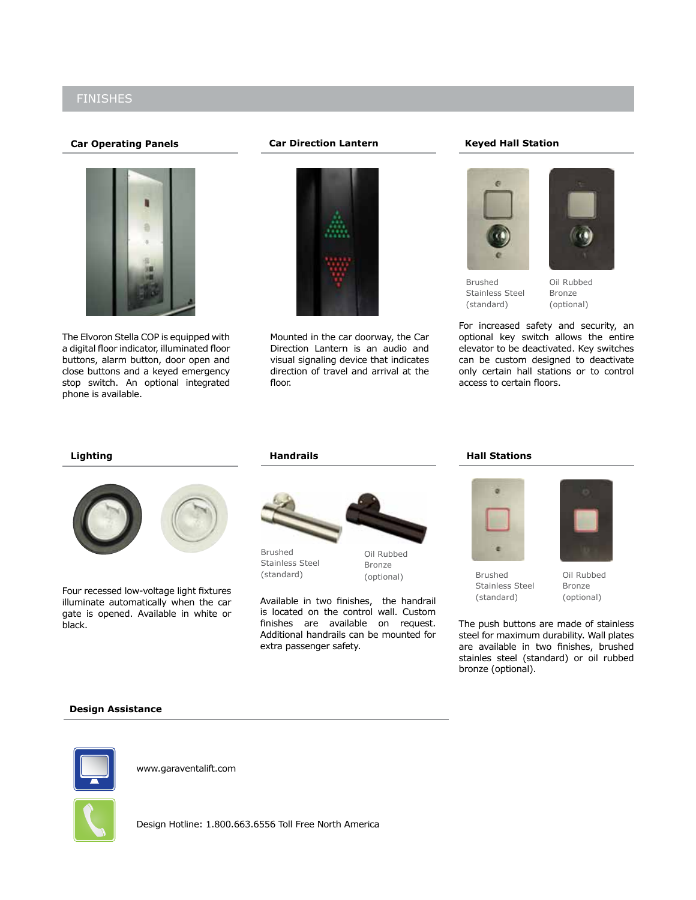### Finishes

#### **Car Operating Panels**



The Elvoron Stella COP is equipped with a digital floor indicator, illuminated floor buttons, alarm button, door open and close buttons and a keyed emergency stop switch. An optional integrated phone is available.

#### **Car Direction Lantern**



Mounted in the car doorway, the Car Direction Lantern is an audio and visual signaling device that indicates direction of travel and arrival at the floor.

#### **Keyed Hall Station**



Brushed Stainless Steel (standard)

Oil Rubbed Bronze (optional)

For increased safety and security, an optional key switch allows the entire elevator to be deactivated. Key switches can be custom designed to deactivate only certain hall stations or to control access to certain floors.

#### **Lighting**



Four recessed low-voltage light fixtures illuminate automatically when the car gate is opened. Available in white or black.

#### **Handrails**



Brushed Stainless Steel (standard)

Oil Rubbed Bronze

Available in two finishes, the handrail is located on the control wall. Custom finishes are available on request. Additional handrails can be mounted for extra passenger safety.

#### **Hall Stations**



(optional) Oil Rubbed Brushed Stainless Steel (standard)

Bronze

(optional)

The push buttons are made of stainless steel for maximum durability. Wall plates are available in two finishes, brushed stainles steel (standard) or oil rubbed bronze (optional).

#### **Design Assistance**



www.garaventalift.com